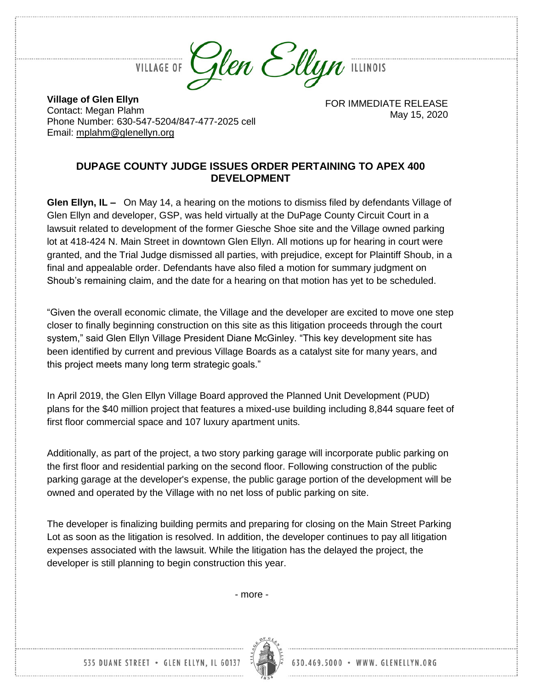

**VILLAGE OF** 

**Village of Glen Ellyn** Contact: Megan Plahm Phone Number: 630-547-5204/847-477-2025 cell Email: [mplahm@glenellyn.org](mailto:mplahm@glenellyn.org)

FOR IMMEDIATE RELEASE May 15, 2020

## **DUPAGE COUNTY JUDGE ISSUES ORDER PERTAINING TO APEX 400 DEVELOPMENT**

**Glen Ellyn, IL –** On May 14, a hearing on the motions to dismiss filed by defendants Village of Glen Ellyn and developer, GSP, was held virtually at the DuPage County Circuit Court in a lawsuit related to development of the former Giesche Shoe site and the Village owned parking lot at 418-424 N. Main Street in downtown Glen Ellyn. All motions up for hearing in court were granted, and the Trial Judge dismissed all parties, with prejudice, except for Plaintiff Shoub, in a final and appealable order. Defendants have also filed a motion for summary judgment on Shoub's remaining claim, and the date for a hearing on that motion has yet to be scheduled.

"Given the overall economic climate, the Village and the developer are excited to move one step closer to finally beginning construction on this site as this litigation proceeds through the court system," said Glen Ellyn Village President Diane McGinley. "This key development site has been identified by current and previous Village Boards as a catalyst site for many years, and this project meets many long term strategic goals."

In April 2019, the Glen Ellyn Village Board approved the Planned Unit Development (PUD) plans for the \$40 million project that features a mixed-use building including 8,844 square feet of first floor commercial space and 107 luxury apartment units.

Additionally, as part of the project, a two story parking garage will incorporate public parking on the first floor and residential parking on the second floor. Following construction of the public parking garage at the developer's expense, the public garage portion of the development will be owned and operated by the Village with no net loss of public parking on site.

The developer is finalizing building permits and preparing for closing on the Main Street Parking Lot as soon as the litigation is resolved. In addition, the developer continues to pay all litigation expenses associated with the lawsuit. While the litigation has the delayed the project, the developer is still planning to begin construction this year.

- more -



630.469.5000 · WWW. GLENELLYN.ORG